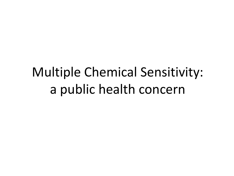## Multiple Chemical Sensitivity: a public health concern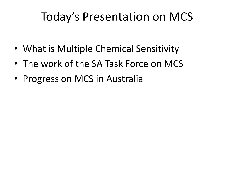#### Today's Presentation on MCS

- What is Multiple Chemical Sensitivity
- The work of the SA Task Force on MCS
- Progress on MCS in Australia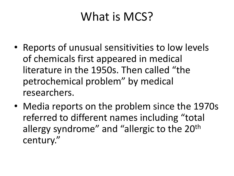#### What is MCS?

- Reports of unusual sensitivities to low levels of chemicals first appeared in medical literature in the 1950s. Then called "the petrochemical problem" by medical researchers.
- Media reports on the problem since the 1970s referred to different names including "total allergy syndrome" and "allergic to the 20<sup>th</sup> century."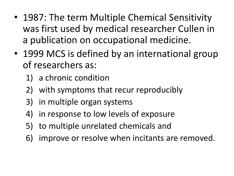- 1987: The term Multiple Chemical Sensitivity was first used by medical researcher Cullen in a publication on occupational medicine.
- 1999 MCS is defined by an international group of researchers as:
	- 1) a chronic condition
	- 2) with symptoms that recur reproducibly
	- 3) in multiple organ systems
	- 4) in response to low levels of exposure
	- 5) to multiple unrelated chemicals and
	- 6) improve or resolve when incitants are removed.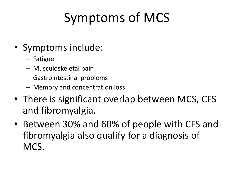# Symptoms of MCS

- Symptoms include:
	- Fatigue
	- Musculoskeletal pain
	- Gastrointestinal problems
	- Memory and concentration loss
- There is significant overlap between MCS, CFS and fibromyalgia.
- Between 30% and 60% of people with CFS and fibromyalgia also qualify for a diagnosis of MCS.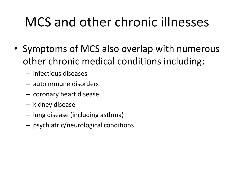### MCS and other chronic illnesses

- Symptoms of MCS also overlap with numerous other chronic medical conditions including:
	- infectious diseases
	- autoimmune disorders
	- coronary heart disease
	- kidney disease
	- lung disease (including asthma)
	- psychiatric/neurological conditions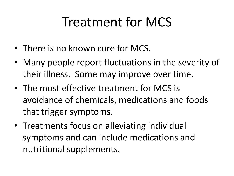### Treatment for MCS

- There is no known cure for MCS.
- Many people report fluctuations in the severity of their illness. Some may improve over time.
- The most effective treatment for MCS is avoidance of chemicals, medications and foods that trigger symptoms.
- Treatments focus on alleviating individual symptoms and can include medications and nutritional supplements.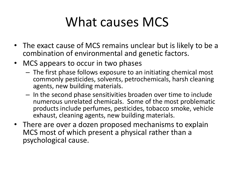## What causes MCS

- The exact cause of MCS remains unclear but is likely to be a combination of environmental and genetic factors.
- MCS appears to occur in two phases
	- The first phase follows exposure to an initiating chemical most commonly pesticides, solvents, petrochemicals, harsh cleaning agents, new building materials.
	- In the second phase sensitivities broaden over time to include numerous unrelated chemicals. Some of the most problematic products include perfumes, pesticides, tobacco smoke, vehicle exhaust, cleaning agents, new building materials.
- There are over a dozen proposed mechanisms to explain MCS most of which present a physical rather than a psychological cause.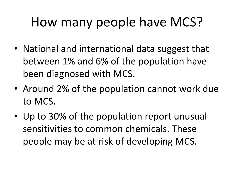### How many people have MCS?

- National and international data suggest that between 1% and 6% of the population have been diagnosed with MCS.
- Around 2% of the population cannot work due to MCS.
- Up to 30% of the population report unusual sensitivities to common chemicals. These people may be at risk of developing MCS.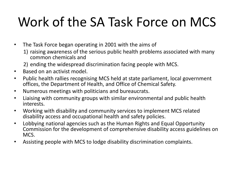## Work of the SA Task Force on MCS

- The Task Force began operating in 2001 with the aims of
	- 1) raising awareness of the serious public health problems associated with many common chemicals and
	- 2) ending the widespread discrimination facing people with MCS.
- Based on an activist model.
- Public health rallies recognising MCS held at state parliament, local government offices, the Department of Health, and Office of Chemical Safety.
- Numerous meetings with politicians and bureaucrats.
- Liaising with community groups with similar environmental and public health interests.
- Working with disability and community services to implement MCS related disability access and occupational health and safety policies.
- Lobbying national agencies such as the Human Rights and Equal Opportunity Commission for the development of comprehensive disability access guidelines on MCS.
- Assisting people with MCS to lodge disability discrimination complaints.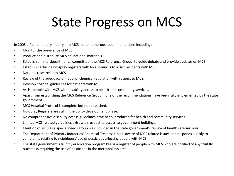#### State Progress on MCS

In 2005 a Parliamentary Inquiry into MCS made numerous recommendations including:

- Monitor the prevalence of MCS.
- Produce and distribute MCS educational materials.
- Establish an interdepartmental committee, the MCS Reference Group, to guide debate and provide updates on MCS.
- Establish herbicide no-spray registers with local councils to assist residents with MCS.
- National research into MCS.
- Review of the adequacy of national chemical regulation with respect to MCS.
- Develop hospital guidelines for patients with MCS.
- Assist people with MCS with disability access to health and community services.
- Apart from establishing the MCS Reference Group, none of the recommendations have been fully implemented by the state government.
- MCS Hospital Protocol is complete but not published.
- No-Spray Registers are still in the policy development phase.
- No comprehensive disability access guidelines have been produced for health and community services.
- Limited MCS related guidelines exist with respect to access to government buildings.
- Mention of MCS as a special needs group was included in the state government's review of health care services.
- The Department of Primary Industries' Chemical Trespass Unit is aware of MCS related issues and responds quickly to complaints relating to neighbours' use of pesticides affecting people with MCS.
- The state government's fruit fly eradication program keeps a register of people with MCS who are notified of any fruit fly outbreaks requiring the use of pesticides in the metropolitan area.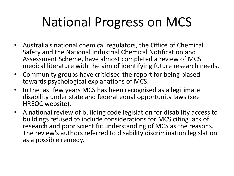## National Progress on MCS

- Australia's national chemical regulators, the Office of Chemical Safety and the National Industrial Chemical Notification and Assessment Scheme, have almost completed a review of MCS medical literature with the aim of identifying future research needs.
- Community groups have criticised the report for being biased towards psychological explanations of MCS.
- In the last few years MCS has been recognised as a legitimate disability under state and federal equal opportunity laws (see HREOC website).
- A national review of building code legislation for disability access to buildings refused to include considerations for MCS citing lack of research and poor scientific understanding of MCS as the reasons. The review's authors referred to disability discrimination legislation as a possible remedy.